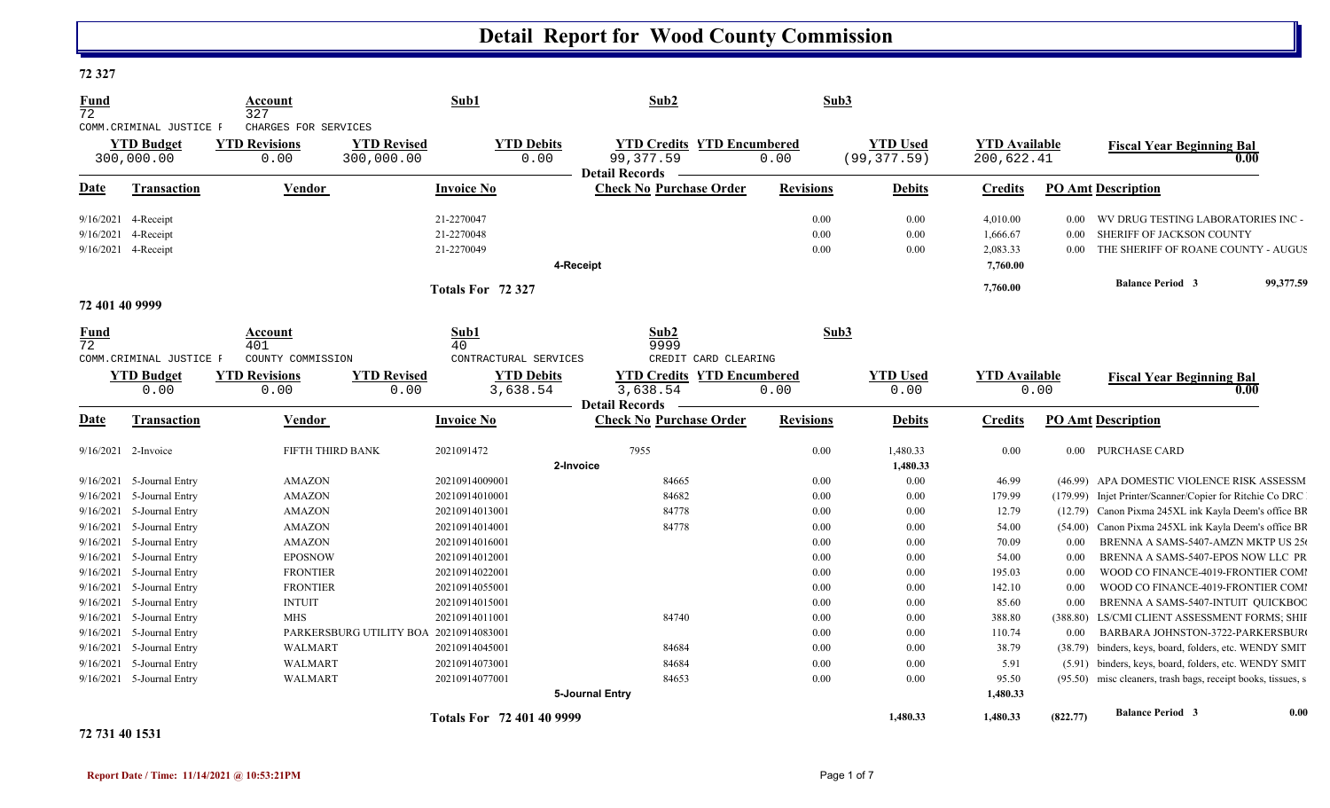#### **72 327**

| <u>Fund</u><br>72                   | COMM. CRIMINAL JUSTICE F<br><b>YTD Budget</b><br>300,000.00 | Account<br>327<br>CHARGES FOR SERVICES<br><b>YTD Revisions</b><br>0.00 | Sub1<br><b>YTD Revised</b><br>300,000.00 | Sub <sub>2</sub><br><b>YTD Debits</b><br><b>YTD Credits YTD Encumbered</b><br>99, 377.59<br>0.00        | Sub3<br>0.00         | <b>YTD Used</b><br>(99, 377.59) | <b>YTD Available</b><br>200,622.41           |                      | <b>Fiscal Year Beginning Bal</b><br>0.00                                                                        |           |
|-------------------------------------|-------------------------------------------------------------|------------------------------------------------------------------------|------------------------------------------|---------------------------------------------------------------------------------------------------------|----------------------|---------------------------------|----------------------------------------------|----------------------|-----------------------------------------------------------------------------------------------------------------|-----------|
| Date                                | Transaction                                                 | Vendor                                                                 | <b>Invoice No</b>                        | <b>Detail Records</b><br><b>Check No Purchase Order</b>                                                 | <b>Revisions</b>     | <b>Debits</b>                   | <b>Credits</b>                               |                      | PO Amt Description                                                                                              |           |
| 9/16/2021<br>9/16/2021<br>9/16/2021 | 4-Receipt<br>4-Receipt<br>4-Receipt                         |                                                                        | 21-2270047<br>21-2270048<br>21-2270049   | 4-Receipt                                                                                               | 0.00<br>0.00<br>0.00 | 0.00<br>0.00<br>0.00            | 4,010.00<br>1,666.67<br>2,083.33<br>7,760.00 | 0.00<br>0.00<br>0.00 | WV DRUG TESTING LABORATORIES INC -<br>SHERIFF OF JACKSON COUNTY<br>THE SHERIFF OF ROANE COUNTY - AUGUS          |           |
|                                     |                                                             |                                                                        | Totals For 72 327                        |                                                                                                         |                      |                                 | 7,760.00                                     |                      | <b>Balance Period 3</b>                                                                                         | 99,377.59 |
| 72 401 40 9999                      |                                                             |                                                                        |                                          |                                                                                                         |                      |                                 |                                              |                      |                                                                                                                 |           |
| <b>Fund</b><br>$\overline{72}$      | COMM. CRIMINAL JUSTICE F                                    | Account<br>401<br>COUNTY COMMISSION                                    | Sub1<br>40                               | Sub2<br>9999<br>CONTRACTURAL SERVICES<br>CREDIT CARD CLEARING                                           | Sub3                 |                                 |                                              |                      |                                                                                                                 |           |
|                                     | <b>YTD Budget</b><br>0.00                                   | <b>YTD Revisions</b><br>0.00                                           | <b>YTD Revised</b><br>0.00               | <b>YTD Debits</b><br><b>YTD Credits YTD Encumbered</b><br>3,638.54<br>3,638.54<br><b>Detail Records</b> | 0.00                 | <b>YTD</b> Used<br>0.00         | <b>YTD Available</b>                         | 0.00                 | <b>Fiscal Year Beginning Bal</b><br>0.00                                                                        |           |
| <b>Date</b>                         | Transaction                                                 | Vendor                                                                 | <b>Invoice No</b>                        | <b>Check No Purchase Order</b>                                                                          | <b>Revisions</b>     | <b>Debits</b>                   | <b>Credits</b>                               |                      | <b>PO Amt Description</b>                                                                                       |           |
| $9/16/2021$ 2-Invoice               |                                                             | FIFTH THIRD BANK                                                       | 2021091472                               | 7955<br>2-Invoice                                                                                       | 0.00                 | 1,480.33<br>1,480.33            | 0.00                                         |                      | 0.00 PURCHASE CARD                                                                                              |           |
| 9/16/2021                           | 5-Journal Entry                                             | <b>AMAZON</b>                                                          | 20210914009001                           | 84665                                                                                                   | 0.00                 | 0.00                            | 46.99                                        |                      | (46.99) APA DOMESTIC VIOLENCE RISK ASSESSM                                                                      |           |
| 9/16/2021                           | 5-Journal Entry                                             | <b>AMAZON</b>                                                          | 20210914010001                           | 84682                                                                                                   | 0.00                 | 0.00                            | 179.99                                       |                      | (179.99) Injet Printer/Scanner/Copier for Ritchie Co DRC                                                        |           |
| 9/16/2021                           | 5-Journal Entry                                             | <b>AMAZON</b>                                                          | 20210914013001                           | 84778                                                                                                   | 0.00                 | 0.00                            | 12.79                                        |                      | (12.79) Canon Pixma 245XL ink Kayla Deem's office BR                                                            |           |
| 9/16/2021                           | 5-Journal Entry                                             | <b>AMAZON</b>                                                          | 20210914014001                           | 84778                                                                                                   | 0.00                 | 0.00                            | 54.00                                        | (54.00)              | Canon Pixma 245XL ink Kayla Deem's office BR                                                                    |           |
| 9/16/2021                           | 5-Journal Entry                                             | AMAZON                                                                 | 20210914016001                           |                                                                                                         | 0.00                 | 0.00                            | 70.09                                        | 0.00                 | BRENNA A SAMS-5407-AMZN MKTP US 250                                                                             |           |
| 9/16/2021                           | 5-Journal Entry                                             | <b>EPOSNOW</b>                                                         | 20210914012001                           |                                                                                                         | 0.00                 | 0.00                            | 54.00                                        | 0.00                 | BRENNA A SAMS-5407-EPOS NOW LLC PR                                                                              |           |
| 9/16/2021                           | 5-Journal Entry                                             | <b>FRONTIER</b>                                                        | 20210914022001                           |                                                                                                         | 0.00                 | 0.00                            | 195.03                                       | 0.00                 | WOOD CO FINANCE-4019-FRONTIER COMI                                                                              |           |
| 9/16/2021                           | 5-Journal Entry                                             | <b>FRONTIER</b>                                                        | 20210914055001                           |                                                                                                         | 0.00                 | 0.00                            | 142.10                                       | 0.00                 | WOOD CO FINANCE-4019-FRONTIER COMI                                                                              |           |
| 9/16/2021                           | 5-Journal Entry                                             | <b>INTUIT</b>                                                          | 20210914015001                           |                                                                                                         | 0.00                 | 0.00                            | 85.60                                        | 0.00                 | BRENNA A SAMS-5407-INTUIT QUICKBOC                                                                              |           |
| 9/16/2021                           | 5-Journal Entry                                             | <b>MHS</b>                                                             | 20210914011001                           | 84740                                                                                                   | 0.00                 | 0.00                            | 388.80                                       | (388.80)             | LS/CMI CLIENT ASSESSMENT FORMS; SHII                                                                            |           |
| 9/16/2021                           | 5-Journal Entry                                             |                                                                        | PARKERSBURG UTILITY BOA 20210914083001   |                                                                                                         | 0.00                 | 0.00                            | 110.74                                       | 0.00                 | BARBARA JOHNSTON-3722-PARKERSBUR                                                                                |           |
| 9/16/2021                           | 5-Journal Entry                                             | WALMART                                                                | 20210914045001                           | 84684                                                                                                   | 0.00                 | 0.00                            | 38.79<br>5.91                                |                      | (38.79) binders, keys, board, folders, etc. WENDY SMIT<br>(5.91) binders, keys, board, folders, etc. WENDY SMIT |           |
|                                     |                                                             |                                                                        |                                          |                                                                                                         |                      |                                 |                                              |                      |                                                                                                                 |           |
| 9/16/2021                           | 5-Journal Entry                                             | WALMART                                                                | 20210914073001                           | 84684                                                                                                   | 0.00                 | 0.00                            |                                              |                      |                                                                                                                 |           |
|                                     | 9/16/2021 5-Journal Entry                                   | WALMART                                                                | 20210914077001                           | 84653<br>5-Journal Entry                                                                                | 0.00                 | 0.00                            | 95.50<br>1,480.33                            |                      | (95.50) misc cleaners, trash bags, receipt books, tissues, s                                                    |           |

#### **72 731 40 1531**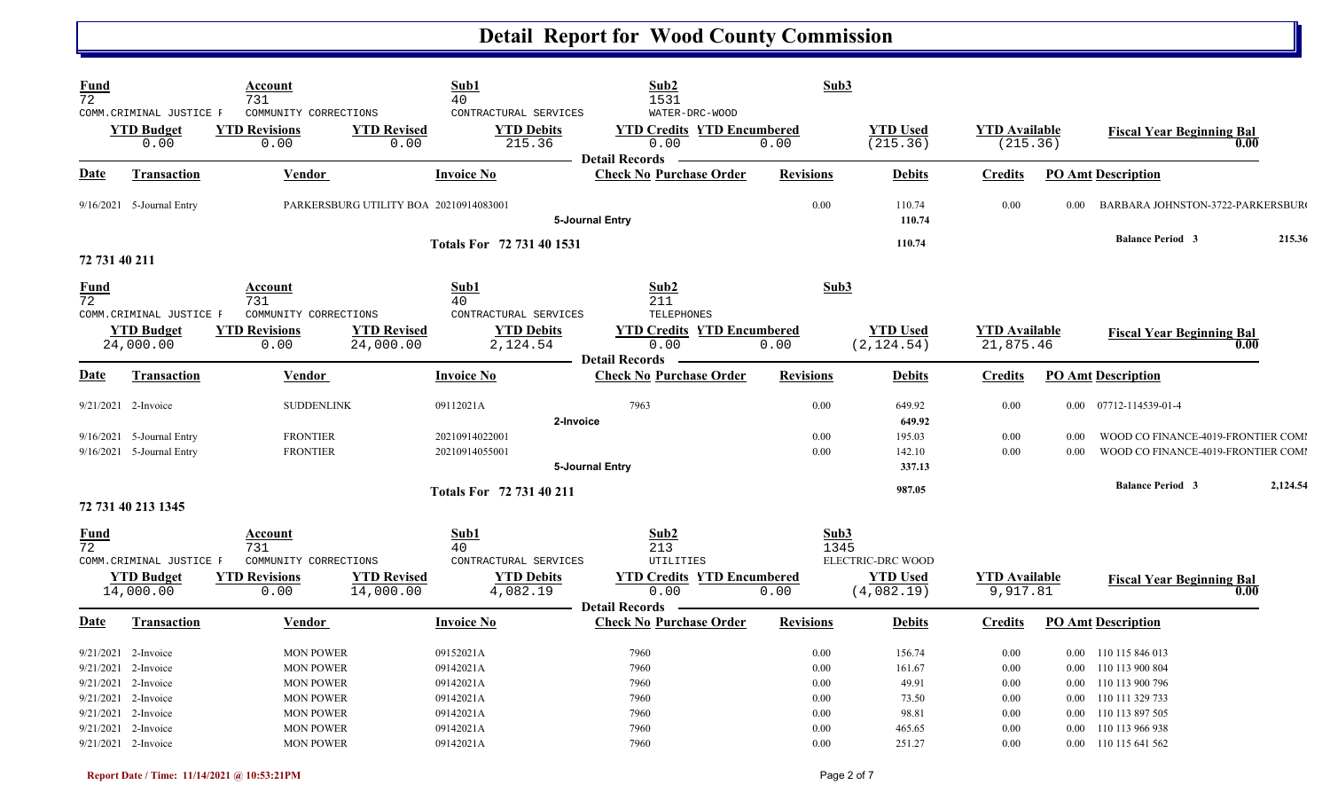| <b>Fund</b><br>$\overline{72}$ |                                                                                                                     | Account<br>731<br>COMMUNITY CORRECTIONS                                                          |                                        | Sub1<br>40<br>CONTRACTURAL SERVICES                           | Sub2<br>1531<br>WATER-DRC-WOOD                                     | Sub3                                 |                                             |                                      |                              |                                                                                                       |          |
|--------------------------------|---------------------------------------------------------------------------------------------------------------------|--------------------------------------------------------------------------------------------------|----------------------------------------|---------------------------------------------------------------|--------------------------------------------------------------------|--------------------------------------|---------------------------------------------|--------------------------------------|------------------------------|-------------------------------------------------------------------------------------------------------|----------|
|                                | COMM. CRIMINAL JUSTICE F<br><b>YTD Budget</b><br>0.00                                                               | <b>YTD Revisions</b><br>0.00                                                                     | <b>YTD Revised</b><br>0.00             | <b>YTD Debits</b><br>215.36                                   | <b>YTD Credits YTD Encumbered</b><br>0.00<br><b>Detail Records</b> | 0.00                                 | <b>YTD Used</b><br>(215.36)                 | <b>YTD Available</b><br>(215.36)     |                              | <b>Fiscal Year Beginning Bal</b>                                                                      | 0.00     |
| Date                           | <b>Transaction</b>                                                                                                  | Vendor                                                                                           |                                        | <b>Invoice No</b>                                             | <b>Check No Purchase Order</b>                                     | <b>Revisions</b>                     | <b>Debits</b>                               | <b>Credits</b>                       |                              | <b>PO Amt Description</b>                                                                             |          |
|                                | $9/16/2021$ 5-Journal Entry                                                                                         |                                                                                                  | PARKERSBURG UTILITY BOA 20210914083001 |                                                               | 5-Journal Entry                                                    | 0.00                                 | 110.74<br>110.74                            | 0.00                                 | 0.00                         | BARBARA JOHNSTON-3722-PARKERSBUR                                                                      |          |
| 72 731 40 211                  |                                                                                                                     |                                                                                                  |                                        | Totals For 72 731 40 1531                                     |                                                                    |                                      | 110.74                                      |                                      |                              | <b>Balance Period 3</b>                                                                               | 215.36   |
| <u>Fund</u><br>72              |                                                                                                                     | Account<br>731                                                                                   |                                        | Sub1<br>40                                                    | Sub2<br>211                                                        | Sub3                                 |                                             |                                      |                              |                                                                                                       |          |
|                                | COMM. CRIMINAL JUSTICE F<br><b>YTD Budget</b><br>24,000.00                                                          | COMMUNITY CORRECTIONS<br><b>YTD Revisions</b><br>0.00                                            | <b>YTD Revised</b><br>24,000.00        | CONTRACTURAL SERVICES<br><b>YTD Debits</b><br>2,124.54        | <b>TELEPHONES</b><br><b>YTD Credits YTD Encumbered</b><br>0.00     | 0.00                                 | <b>YTD Used</b><br>(2, 124.54)              | <b>YTD</b> Available<br>21,875.46    |                              | <b>Fiscal Year Beginning Bal</b>                                                                      | 0.00     |
| <u>Date</u>                    | Transaction                                                                                                         | Vendor                                                                                           |                                        | <b>Invoice No</b>                                             | <b>Detail Records</b><br><b>Check No Purchase Order</b>            | <b>Revisions</b>                     | <b>Debits</b>                               | <b>Credits</b>                       |                              | <b>PO Amt Description</b>                                                                             |          |
|                                | 9/21/2021 2-Invoice                                                                                                 | <b>SUDDENLINK</b>                                                                                |                                        | 09112021A<br>2-Invoice                                        | 7963                                                               | 0.00                                 | 649.92<br>649.92                            | 0.00                                 |                              | 0.00 07712-114539-01-4                                                                                |          |
|                                | 9/16/2021 5-Journal Entry<br>$9/16/2021$ 5-Journal Entry                                                            | <b>FRONTIER</b><br><b>FRONTIER</b>                                                               |                                        | 20210914022001<br>20210914055001                              | 5-Journal Entry                                                    | 0.00<br>0.00                         | 195.03<br>142.10<br>337.13                  | 0.00<br>0.00                         | 0.00<br>0.00                 | WOOD CO FINANCE-4019-FRONTIER COMI<br>WOOD CO FINANCE-4019-FRONTIER COMI                              |          |
|                                | 72 731 40 213 1345                                                                                                  |                                                                                                  |                                        | <b>Totals For 72 731 40 211</b>                               |                                                                    |                                      | 987.05                                      |                                      |                              | <b>Balance Period 3</b>                                                                               | 2,124.54 |
| Fund<br>$\overline{72}$        | COMM. CRIMINAL JUSTICE F                                                                                            | Account<br>731<br>COMMUNITY CORRECTIONS                                                          |                                        | Sub1<br>40<br>CONTRACTURAL SERVICES                           | Sub2<br>213<br>UTILITIES                                           | Sub3<br>1345                         | ELECTRIC-DRC WOOD                           |                                      |                              |                                                                                                       |          |
|                                | <b>YTD Budget</b><br>14,000.00                                                                                      | <b>YTD Revisions</b><br>0.00                                                                     | <b>YTD Revised</b><br>14,000.00        | <b>YTD Debits</b><br>4,082.19                                 | <b>YTD Credits YTD Encumbered</b><br>0.00<br><b>Detail Records</b> | 0.00                                 | <b>YTD Used</b><br>(4,082.19)               | <b>YTD</b> Available<br>9,917.81     |                              | <b>Fiscal Year Beginning Bal</b>                                                                      | 0.00     |
| <u>Date</u>                    | <b>Transaction</b>                                                                                                  | <b>Vendor</b>                                                                                    |                                        | <b>Invoice No</b>                                             | <b>Check No Purchase Order</b>                                     | <b>Revisions</b>                     | <b>Debits</b>                               | <b>Credits</b>                       |                              | <b>PO Amt Description</b>                                                                             |          |
|                                | $9/21/2021$ 2-Invoice<br>9/21/2021 2-Invoice<br>9/21/2021 2-Invoice<br>9/21/2021 2-Invoice<br>$9/21/2021$ 2-Invoice | <b>MON POWER</b><br><b>MON POWER</b><br><b>MON POWER</b><br><b>MON POWER</b><br><b>MON POWER</b> |                                        | 09152021A<br>09142021A<br>09142021A<br>09142021A<br>09142021A | 7960<br>7960<br>7960<br>7960<br>7960                               | 0.00<br>0.00<br>0.00<br>0.00<br>0.00 | 156.74<br>161.67<br>49.91<br>73.50<br>98.81 | 0.00<br>0.00<br>0.00<br>0.00<br>0.00 | 0.00<br>$0.00\,$<br>$0.00\,$ | 0.00 110 115 846 013<br>110 113 900 804<br>110 113 900 796<br>0.00 110 111 329 733<br>110 113 897 505 |          |
|                                | 9/21/2021 2-Invoice<br>9/21/2021 2-Invoice                                                                          | <b>MON POWER</b><br><b>MON POWER</b>                                                             |                                        | 09142021A<br>09142021A                                        | 7960<br>7960                                                       | 0.00<br>0.00                         | 465.65<br>251.27                            | 0.00<br>0.00                         | 0.00                         | 110 113 966 938<br>0.00 110 115 641 562                                                               |          |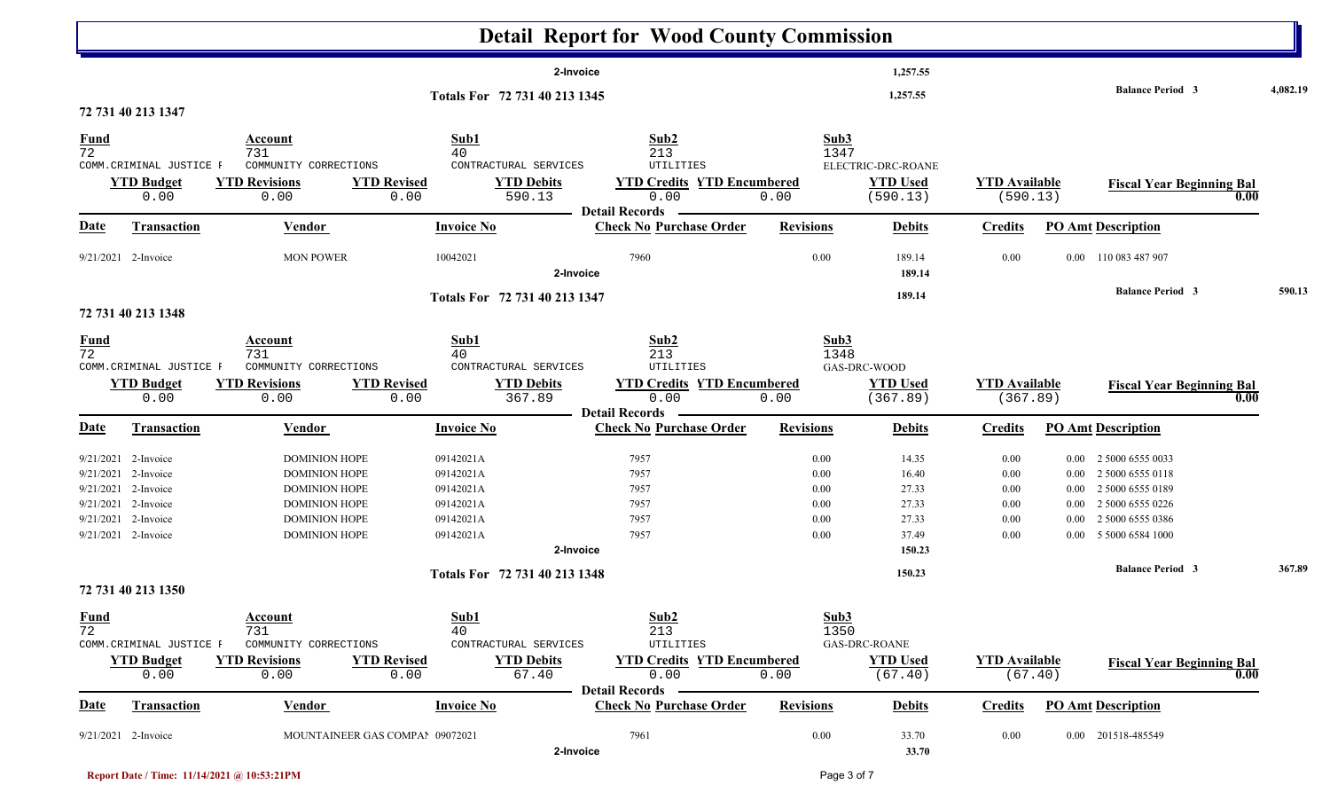|                   |                           |                              |                                                           | <b>Detail Report for Wood County Commission</b>         |                  |                             |                                  |          |                                          |          |
|-------------------|---------------------------|------------------------------|-----------------------------------------------------------|---------------------------------------------------------|------------------|-----------------------------|----------------------------------|----------|------------------------------------------|----------|
|                   |                           |                              |                                                           | 2-Invoice                                               |                  | 1,257.55                    |                                  |          |                                          |          |
|                   |                           |                              | Totals For 72 731 40 213 1345                             |                                                         |                  | 1,257.55                    |                                  |          | <b>Balance Period 3</b>                  | 4,082.19 |
|                   | 72 731 40 213 1347        |                              |                                                           |                                                         |                  |                             |                                  |          |                                          |          |
| $\frac{Fund}{72}$ |                           | <b>Account</b>               | Sub1                                                      | Sub2                                                    | Sub3             |                             |                                  |          |                                          |          |
|                   | COMM. CRIMINAL JUSTICE F  | 731<br>COMMUNITY CORRECTIONS | 40<br>CONTRACTURAL SERVICES                               | 213<br>UTILITIES                                        | 1347             | ELECTRIC-DRC-ROANE          |                                  |          |                                          |          |
|                   | <b>YTD Budget</b><br>0.00 | <b>YTD Revisions</b><br>0.00 | <b>YTD Revised</b><br><b>YTD Debits</b><br>590.13<br>0.00 | <b>YTD Credits YTD Encumbered</b><br>0.00               | 0.00             | <b>YTD Used</b><br>(590.13) | <b>YTD Available</b><br>(590.13) |          | <b>Fiscal Year Beginning Bal</b><br>0.00 |          |
| <b>Date</b>       | <b>Transaction</b>        | <b>Vendor</b>                | <b>Invoice No</b>                                         | <b>Detail Records</b><br><b>Check No Purchase Order</b> | <b>Revisions</b> | <b>Debits</b>               | <b>Credits</b>                   |          | <b>PO Amt Description</b>                |          |
|                   | 9/21/2021 2-Invoice       | <b>MON POWER</b>             | 10042021                                                  | 7960<br>2-Invoice                                       | 0.00             | 189.14<br>189.14            | 0.00                             |          | 0.00 110 083 487 907                     |          |
|                   | 72 731 40 213 1348        |                              | Totals For 72 731 40 213 1347                             |                                                         |                  | 189.14                      |                                  |          | <b>Balance Period 3</b>                  | 590.13   |
|                   |                           |                              |                                                           |                                                         |                  |                             |                                  |          |                                          |          |
| $\frac{Fund}{72}$ |                           | Account<br>731               | Sub1                                                      | Sub2                                                    | Sub3             |                             |                                  |          |                                          |          |
|                   | COMM. CRIMINAL JUSTICE F  | COMMUNITY CORRECTIONS        | 40<br>CONTRACTURAL SERVICES                               | 213<br>UTILITIES                                        | 1348             | GAS-DRC-WOOD                |                                  |          |                                          |          |
|                   | <b>YTD Budget</b>         | <b>YTD Revisions</b>         | <b>YTD Revised</b><br><b>YTD Debits</b>                   | <b>YTD Credits YTD Encumbered</b>                       |                  | <b>YTD Used</b>             | <b>YTD Available</b>             |          | <b>Fiscal Year Beginning Bal</b>         |          |
|                   | 0.00                      | 0.00                         | 367.89<br>0.00                                            | 0.00                                                    | 0.00             | (367.89)                    | (367.89)                         |          | 0.00                                     |          |
|                   |                           |                              |                                                           | Detail Records -<br><b>Check No Purchase Order</b>      | <b>Revisions</b> |                             |                                  |          |                                          |          |
| <b>Date</b>       | Transaction               | <b>Vendor</b>                | <b>Invoice No</b>                                         |                                                         |                  | <b>Debits</b>               | <b>Credits</b>                   |          | <b>PO Amt Description</b>                |          |
|                   | 9/21/2021 2-Invoice       | <b>DOMINION HOPE</b>         | 09142021A                                                 | 7957                                                    | 0.00             | 14.35                       | 0.00                             | $0.00\,$ | 2 5000 6555 0033                         |          |
|                   | 9/21/2021 2-Invoice       | <b>DOMINION HOPE</b>         | 09142021A                                                 | 7957                                                    | 0.00             | 16.40                       | 0.00                             | $0.00\,$ | 2 5000 6555 0118                         |          |
|                   | 9/21/2021 2-Invoice       | <b>DOMINION HOPE</b>         | 09142021A                                                 | 7957                                                    | 0.00             | 27.33                       | 0.00                             | $0.00\,$ | 2 5000 6555 0189                         |          |
|                   | 9/21/2021 2-Invoice       | <b>DOMINION HOPE</b>         | 09142021A                                                 | 7957                                                    | 0.00             | 27.33                       | 0.00                             | $0.00\,$ | 2 5000 6555 0226                         |          |
| 9/21/2021         | 2-Invoice                 | <b>DOMINION HOPE</b>         | 09142021A                                                 | 7957                                                    | 0.00             | 27.33                       | 0.00                             | $0.00\,$ | 2 5000 6555 0386                         |          |
|                   | 9/21/2021 2-Invoice       | <b>DOMINION HOPE</b>         | 09142021A                                                 | 7957                                                    | 0.00             | 37.49                       | 0.00                             |          | 0.00 5 5000 6584 1000                    |          |
|                   |                           |                              |                                                           | 2-Invoice                                               |                  | 150.23                      |                                  |          |                                          |          |
|                   |                           |                              | Totals For 72 731 40 213 1348                             |                                                         |                  | 150.23                      |                                  |          | <b>Balance Period 3</b>                  | 367.89   |
|                   | 72 731 40 213 1350        |                              |                                                           |                                                         |                  |                             |                                  |          |                                          |          |
| $\frac{Fund}{72}$ |                           | <b>Account</b>               | <b>Sub1</b>                                               | Sub2                                                    | Sub3             |                             |                                  |          |                                          |          |
|                   | COMM. CRIMINAL JUSTICE F  | 731<br>COMMUNITY CORRECTIONS | 40<br>CONTRACTURAL SERVICES                               | 213<br>UTILITIES                                        | 1350             | $\mbox{GAS-DRC-ROANE}$      |                                  |          |                                          |          |
|                   | <b>YTD Budget</b>         | <b>YTD Revisions</b>         | <b>YTD Revised</b><br><b>YTD Debits</b>                   | <b>YTD Credits YTD Encumbered</b>                       |                  | <b>YTD Used</b>             | <b>YTD Available</b>             |          | <b>Fiscal Year Beginning Bal</b>         |          |
|                   | 0.00                      | 0.00                         | 67.40<br>0.00                                             | 0.00                                                    | 0.00             | (67.40)                     | (67.40)                          |          | 0.00                                     |          |
|                   |                           |                              |                                                           | <b>Detail Records</b>                                   |                  |                             |                                  |          |                                          |          |
| <u>Date</u>       | <b>Transaction</b>        | <b>Vendor</b>                | <b>Invoice No</b>                                         | <b>Check No Purchase Order</b>                          | <b>Revisions</b> | <b>Debits</b>               | <b>Credits</b>                   |          | <b>PO Amt Description</b>                |          |
|                   | $9/21/2021$ 2-Invoice     |                              | MOUNTAINEER GAS COMPAI 09072021                           | 7961                                                    | $0.00\,$         | 33.70                       | 0.00                             |          | 0.00 201518-485549                       |          |
|                   |                           |                              |                                                           | 2-Invoice                                               |                  | 33.70                       |                                  |          |                                          |          |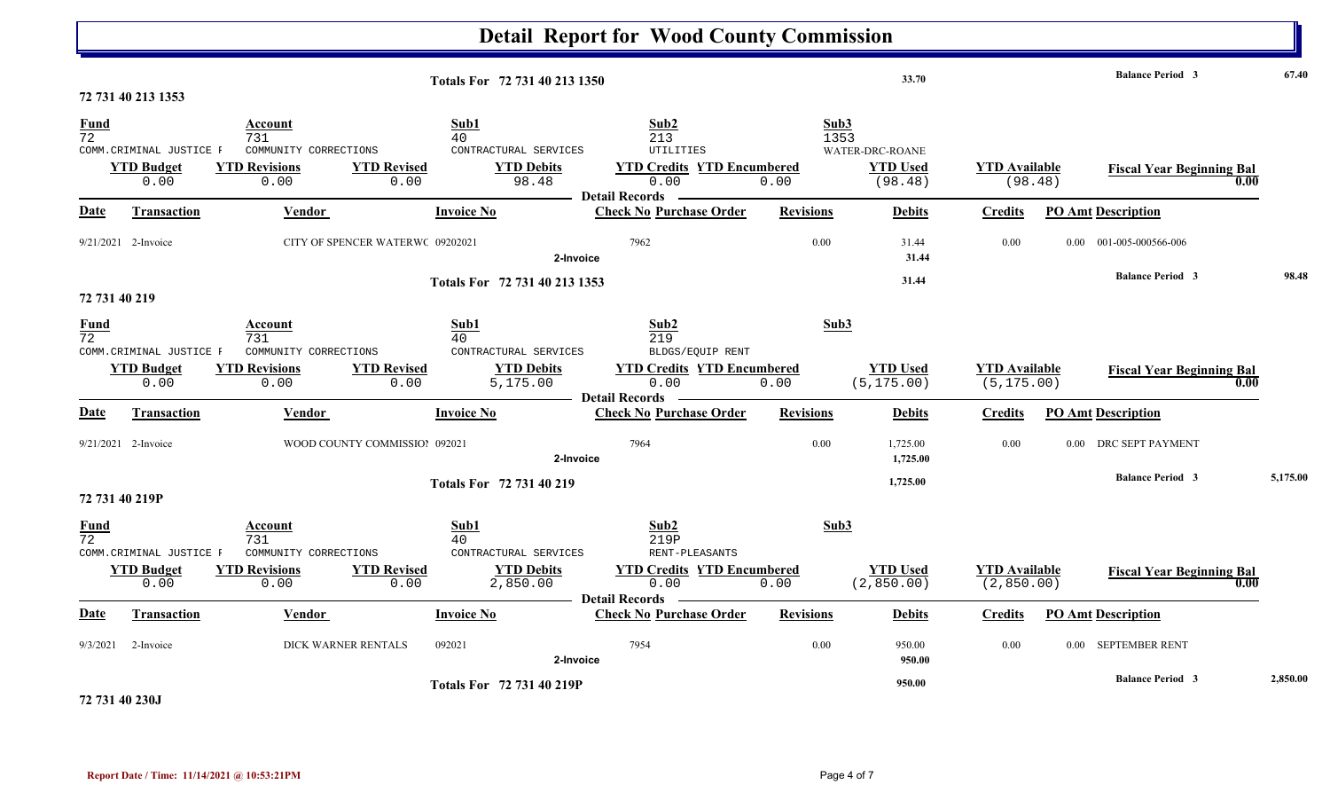|                         |                                                       |                                                                         |                                                                                                 | <b>Detail Report for Wood County Commission</b>                                                       |                      |                                               |                                     |                                  |          |
|-------------------------|-------------------------------------------------------|-------------------------------------------------------------------------|-------------------------------------------------------------------------------------------------|-------------------------------------------------------------------------------------------------------|----------------------|-----------------------------------------------|-------------------------------------|----------------------------------|----------|
|                         | 72 731 40 213 1353                                    |                                                                         | Totals For 72 731 40 213 1350                                                                   |                                                                                                       |                      | 33.70                                         |                                     | <b>Balance Period 3</b>          | 67.40    |
| Fund<br>$\overline{72}$ | COMM. CRIMINAL JUSTICE F<br><b>YTD Budget</b><br>0.00 | Account<br>731<br>COMMUNITY CORRECTIONS<br><b>YTD Revisions</b><br>0.00 | Sub1<br>40<br>CONTRACTURAL SERVICES<br><b>YTD Debits</b><br><b>YTD Revised</b><br>0.00<br>98.48 | Sub2<br>213<br><b>UTILITIES</b><br><b>YTD Credits YTD Encumbered</b><br>0.00<br><b>Detail Records</b> | Sub3<br>1353<br>0.00 | WATER-DRC-ROANE<br><b>YTD Used</b><br>(98.48) | <b>YTD</b> Available<br>(98.48)     | <b>Fiscal Year Beginning Bal</b> | 0.00     |
| Date                    | Transaction                                           | Vendor                                                                  | <b>Invoice No</b>                                                                               | <b>Check No Purchase Order</b>                                                                        | <b>Revisions</b>     | <b>Debits</b>                                 | <b>Credits</b>                      | <b>PO Amt Description</b>        |          |
|                         | 9/21/2021 2-Invoice                                   |                                                                         | CITY OF SPENCER WATERWC 09202021                                                                | 7962<br>2-Invoice                                                                                     | 0.00                 | 31.44<br>31.44                                | 0.00                                | 001-005-000566-006<br>$0.00\,$   |          |
|                         |                                                       |                                                                         | Totals For 72 731 40 213 1353                                                                   |                                                                                                       |                      | 31.44                                         |                                     | <b>Balance Period 3</b>          | 98.48    |
| 72 731 40 219           |                                                       |                                                                         |                                                                                                 |                                                                                                       |                      |                                               |                                     |                                  |          |
| Fund<br>72              | COMM. CRIMINAL JUSTICE F                              | Account<br>731<br>COMMUNITY CORRECTIONS                                 | Sub1<br>40<br>CONTRACTURAL SERVICES                                                             | Sub2<br>219<br>BLDGS/EQUIP RENT                                                                       | Sub3                 |                                               |                                     |                                  |          |
|                         | <b>YTD Budget</b><br>0.00                             | <b>YTD Revisions</b><br>0.00                                            | <b>YTD Revised</b><br><b>YTD Debits</b><br>5,175.00<br>0.00                                     | <b>YTD Credits YTD Encumbered</b><br>0.00                                                             | 0.00                 | <b>YTD Used</b><br>(5, 175.00)                | <b>YTD</b> Available<br>(5, 175.00) | <b>Fiscal Year Beginning Bal</b> | 0.00     |
| Date                    | Transaction                                           | <b>Vendor</b>                                                           | <b>Invoice No</b>                                                                               | <b>Detail Records</b><br><b>Check No Purchase Order</b>                                               | <b>Revisions</b>     | <b>Debits</b>                                 | <b>Credits</b>                      | <b>PO Amt Description</b>        |          |
|                         | 9/21/2021 2-Invoice                                   |                                                                         | WOOD COUNTY COMMISSIOI 092021                                                                   | 7964<br>2-Invoice                                                                                     | 0.00                 | 1,725.00<br>1,725.00                          | 0.00                                | DRC SEPT PAYMENT<br>0.00         |          |
|                         |                                                       |                                                                         | Totals For 72 731 40 219                                                                        |                                                                                                       |                      | 1,725.00                                      |                                     | <b>Balance Period 3</b>          | 5,175.00 |
|                         | 72 731 40 219P                                        |                                                                         |                                                                                                 |                                                                                                       |                      |                                               |                                     |                                  |          |
| Fund<br>$\overline{72}$ | COMM. CRIMINAL JUSTICE F                              | Account<br>731<br>COMMUNITY CORRECTIONS                                 | Sub1<br>40<br>CONTRACTURAL SERVICES                                                             | Sub2<br>219P<br>RENT-PLEASANTS                                                                        | Sub3                 |                                               |                                     |                                  |          |
|                         | <b>YTD Budget</b><br>0.00                             | <b>YTD Revisions</b><br>0.00                                            | <b>YTD Revised</b><br><b>YTD Debits</b><br>0.00<br>2,850.00                                     | <b>YTD Credits YTD Encumbered</b><br>0.00<br><b>Detail Records</b>                                    | 0.00                 | <b>YTD Used</b><br>(2,850.00)                 | <b>YTD</b> Available<br>(2, 850.00) | <b>Fiscal Year Beginning Bal</b> | 0.00     |
| <b>Date</b>             | <b>Transaction</b>                                    | <b>Vendor</b>                                                           | <b>Invoice No</b>                                                                               | <b>Check No Purchase Order</b>                                                                        | <b>Revisions</b>     | <b>Debits</b>                                 | <b>Credits</b>                      | <b>PO Amt Description</b>        |          |
| 9/3/2021                | 2-Invoice                                             | DICK WARNER RENTALS                                                     | 092021                                                                                          | 7954<br>2-Invoice                                                                                     | 0.00                 | 950.00<br>950.00                              | 0.00                                | 0.00 SEPTEMBER RENT              |          |
|                         | .                                                     |                                                                         | Totals For 72 731 40 219P                                                                       |                                                                                                       |                      | 950.00                                        |                                     | <b>Balance Period 3</b>          | 2,850.00 |

**72 731 40 230J**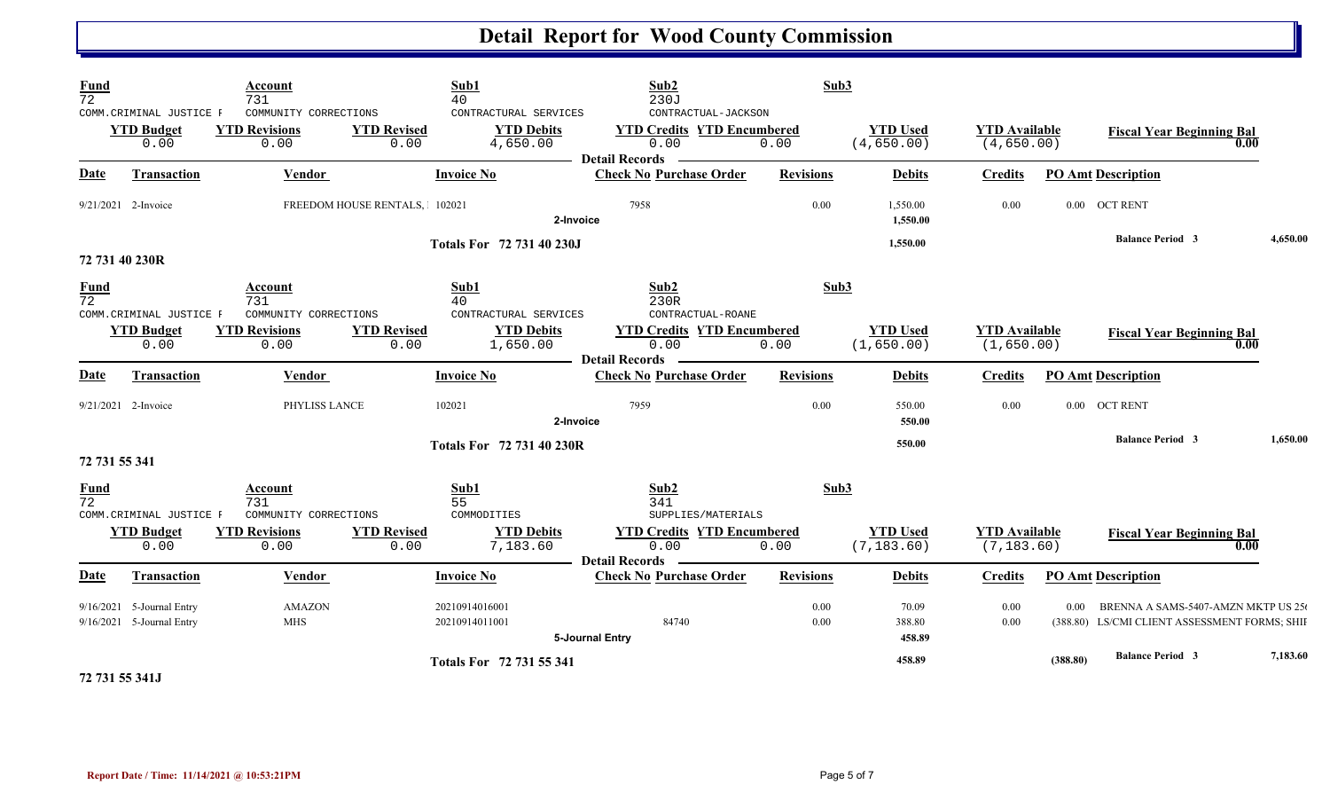| Fund<br>$\overline{72}$        | COMM. CRIMINAL JUSTICE F<br><b>YTD Budget</b><br>0.00  | Account<br>731<br>COMMUNITY CORRECTIONS<br><b>YTD Revisions</b><br>0.00 | <b>YTD Revised</b><br>0.00    | Sub1<br>40<br>CONTRACTURAL SERVICES<br><b>YTD Debits</b><br>4,650.00 | Sub2<br>230J<br>CONTRACTUAL-JACKSON<br><b>YTD Credits YTD Encumbered</b><br>0.00 | Sub3<br>0.00     | <b>YTD Used</b><br>(4,650.00)  | <b>YTD</b> Available<br>(4,650.00)  |          | <b>Fiscal Year Beginning Bal</b>                                                     | 0.00     |
|--------------------------------|--------------------------------------------------------|-------------------------------------------------------------------------|-------------------------------|----------------------------------------------------------------------|----------------------------------------------------------------------------------|------------------|--------------------------------|-------------------------------------|----------|--------------------------------------------------------------------------------------|----------|
| Date                           | Transaction                                            | Vendor                                                                  |                               | <b>Invoice No</b>                                                    | <b>Detail Records</b><br><b>Check No Purchase Order</b>                          | <b>Revisions</b> | <b>Debits</b>                  | <b>Credits</b>                      |          | <b>PO Amt Description</b>                                                            |          |
|                                | 9/21/2021 2-Invoice                                    |                                                                         | FREEDOM HOUSE RENTALS, 102021 | 2-Invoice                                                            | 7958                                                                             | 0.00             | 1,550.00<br>1,550.00           | 0.00                                |          | 0.00 OCT RENT                                                                        |          |
|                                |                                                        |                                                                         |                               | <b>Totals For 72 731 40 230J</b>                                     |                                                                                  |                  | 1,550.00                       |                                     |          | <b>Balance Period 3</b>                                                              | 4,650.00 |
|                                | 72 731 40 230R                                         |                                                                         |                               |                                                                      |                                                                                  |                  |                                |                                     |          |                                                                                      |          |
| <b>Fund</b><br>$\overline{72}$ | COMM. CRIMINAL JUSTICE F                               | Account<br>731<br>COMMUNITY CORRECTIONS                                 |                               | Sub1<br>40<br>CONTRACTURAL SERVICES                                  | Sub2<br>230R<br>CONTRACTUAL-ROANE                                                | Sub3             |                                |                                     |          |                                                                                      |          |
|                                | <b>YTD Budget</b><br>0.00                              | <b>YTD Revisions</b><br>0.00                                            | <b>YTD Revised</b><br>0.00    | <b>YTD Debits</b><br>1,650.00                                        | <b>YTD Credits YTD Encumbered</b><br>0.00<br><b>Detail Records</b> -             | 0.00             | <b>YTD Used</b><br>(1,650.00)  | <b>YTD</b> Available<br>(1,650.00)  |          | <b>Fiscal Year Beginning Bal</b>                                                     | 0.00     |
| Date                           | Transaction                                            | Vendor                                                                  |                               | <b>Invoice No</b>                                                    | <b>Check No Purchase Order</b>                                                   | <b>Revisions</b> | <b>Debits</b>                  | <b>Credits</b>                      |          | <b>PO Amt Description</b>                                                            |          |
|                                | 9/21/2021 2-Invoice                                    | PHYLISS LANCE                                                           |                               | 102021<br>2-Invoice                                                  | 7959                                                                             | 0.00             | 550.00<br>550.00               | 0.00                                |          | 0.00 OCT RENT                                                                        |          |
| 72 731 55 341                  |                                                        |                                                                         |                               | <b>Totals For 72 731 40 230R</b>                                     |                                                                                  |                  | 550.00                         |                                     |          | <b>Balance Period 3</b>                                                              | 1,650.00 |
| <b>Fund</b><br>$\overline{72}$ | COMM. CRIMINAL JUSTICE F                               | Account<br>731<br>COMMUNITY CORRECTIONS                                 |                               | Sub1<br>55<br>COMMODITIES                                            | Sub2<br>341<br>SUPPLIES/MATERIALS                                                | Sub3             |                                |                                     |          |                                                                                      |          |
|                                | <b>YTD Budget</b><br>0.00                              | <b>YTD Revisions</b><br>0.00                                            | <b>YTD Revised</b><br>0.00    | <b>YTD Debits</b><br>7,183.60                                        | <b>YTD Credits YTD Encumbered</b><br>0.00<br><b>Detail Records</b>               | 0.00             | <b>YTD Used</b><br>(7, 183.60) | <b>YTD</b> Available<br>(7, 183.60) |          | <b>Fiscal Year Beginning Bal</b>                                                     | 0.00     |
| Date                           | <b>Transaction</b>                                     | Vendor                                                                  |                               | <b>Invoice No</b>                                                    | <b>Check No Purchase Order</b>                                                   | <b>Revisions</b> | <b>Debits</b>                  | <b>Credits</b>                      |          | <b>PO Amt Description</b>                                                            |          |
|                                | 9/16/2021 5-Journal Entry<br>9/16/2021 5-Journal Entry | <b>AMAZON</b><br><b>MHS</b>                                             |                               | 20210914016001<br>20210914011001                                     | 84740<br>5-Journal Entry                                                         | 0.00<br>0.00     | 70.09<br>388.80<br>458.89      | 0.00<br>0.00                        | 0.00     | BRENNA A SAMS-5407-AMZN MKTP US 250<br>(388.80) LS/CMI CLIENT ASSESSMENT FORMS; SHII |          |
|                                |                                                        |                                                                         |                               | Totals For 72 731 55 341                                             |                                                                                  |                  | 458.89                         |                                     | (388.80) | <b>Balance Period 3</b>                                                              | 7,183.60 |

**72 731 55 341J**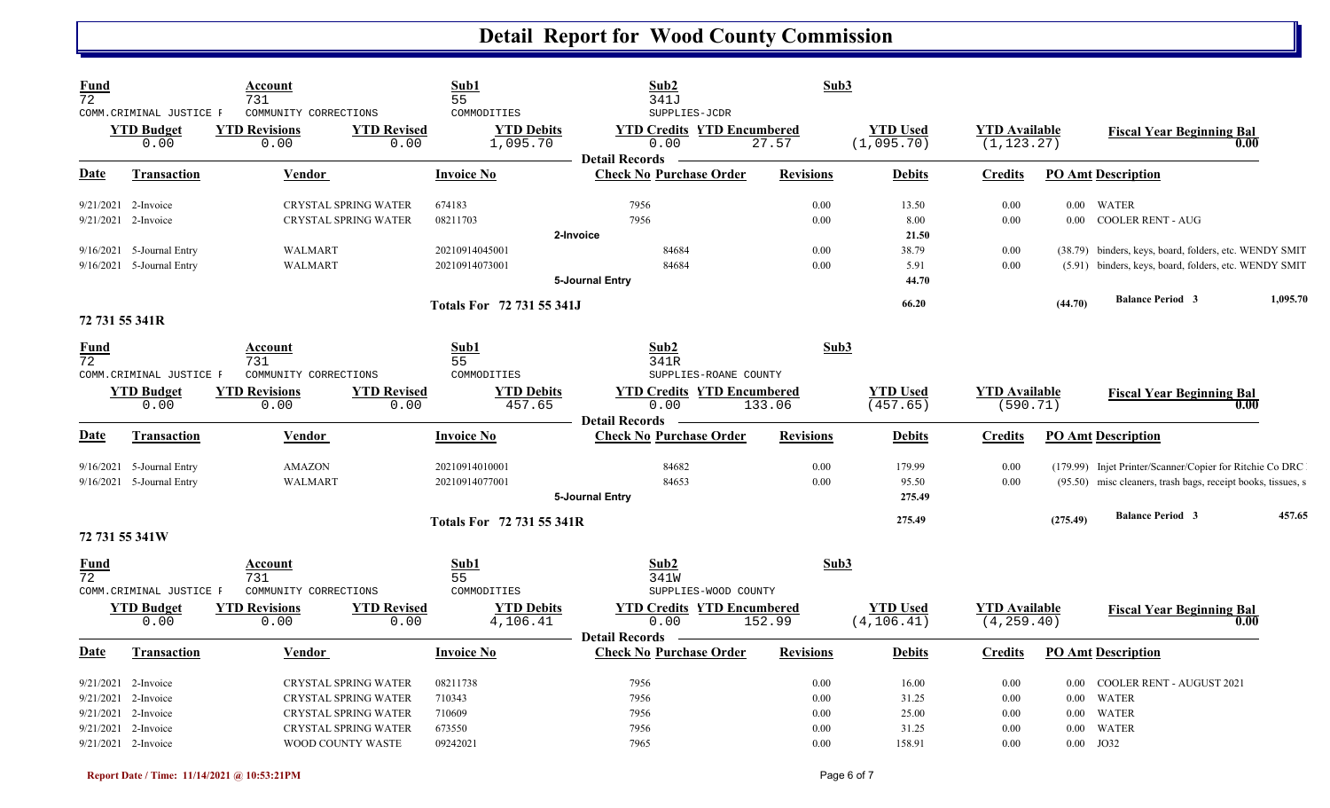| <b>Fund</b><br>$\overline{72}$ | COMM.CRIMINAL JUSTICE F                                                          | Account<br>731<br>COMMUNITY CORRECTIONS                                                                                  | Sub1<br>55                             | COMMODITIES                      | Sub2<br>341J<br>SUPPLIES-JCDR                                      | Sub3                         |                                  |                                     |                                              |                                                                                                                          |          |
|--------------------------------|----------------------------------------------------------------------------------|--------------------------------------------------------------------------------------------------------------------------|----------------------------------------|----------------------------------|--------------------------------------------------------------------|------------------------------|----------------------------------|-------------------------------------|----------------------------------------------|--------------------------------------------------------------------------------------------------------------------------|----------|
|                                | <b>YTD Budget</b><br>0.00                                                        | <b>YTD Revisions</b><br>0.00                                                                                             | <b>YTD Revised</b><br>0.00             | <b>YTD Debits</b><br>1,095.70    | <b>YTD Credits YTD Encumbered</b><br>0.00<br><b>Detail Records</b> | 27.57                        | <b>YTD Used</b><br>(1,095.70)    | <b>YTD Available</b><br>(1, 123.27) |                                              | <b>Fiscal Year Beginning Bal</b><br>0.00                                                                                 |          |
| Date                           | <b>Transaction</b>                                                               | Vendor                                                                                                                   | <b>Invoice No</b>                      |                                  | <b>Check No Purchase Order</b>                                     | <b>Revisions</b>             | <b>Debits</b>                    | <b>Credits</b>                      |                                              | <b>PO Amt Description</b>                                                                                                |          |
|                                | 9/21/2021 2-Invoice<br>$9/21/2021$ 2-Invoice                                     | <b>CRYSTAL SPRING WATER</b><br><b>CRYSTAL SPRING WATER</b>                                                               | 674183<br>08211703                     |                                  | 7956<br>7956                                                       | 0.00<br>0.00                 | 13.50<br>8.00                    | 0.00<br>0.00                        |                                              | 0.00 WATER<br>0.00 COOLER RENT - AUG                                                                                     |          |
|                                | 9/16/2021 5-Journal Entry<br>9/16/2021 5-Journal Entry                           | <b>WALMART</b><br><b>WALMART</b>                                                                                         |                                        | 20210914045001<br>20210914073001 | 2-Invoice<br>84684<br>84684<br>5-Journal Entry                     | 0.00<br>0.00                 | 21.50<br>38.79<br>5.91<br>44.70  | 0.00<br>0.00                        |                                              | (38.79) binders, keys, board, folders, etc. WENDY SMIT<br>(5.91) binders, keys, board, folders, etc. WENDY SMIT          |          |
| 72 731 55 341R                 |                                                                                  |                                                                                                                          |                                        | <b>Totals For 72 731 55 341J</b> |                                                                    |                              | 66.20                            |                                     | (44.70)                                      | <b>Balance Period 3</b>                                                                                                  | 1,095.70 |
| <u>Fund</u><br>72              | COMM. CRIMINAL JUSTICE F                                                         | Account<br>731<br>COMMUNITY CORRECTIONS                                                                                  | Sub1<br>55                             | COMMODITIES                      | Sub2<br>341R<br>SUPPLIES-ROANE COUNTY                              | Sub3                         |                                  |                                     |                                              |                                                                                                                          |          |
|                                | <b>YTD Budget</b><br>0.00                                                        | <b>YTD Revisions</b><br>0.00                                                                                             | <b>YTD Revised</b><br>0.00             | <b>YTD Debits</b><br>457.65      | <b>YTD Credits YTD Encumbered</b><br>0.00<br><b>Detail Records</b> | 133.06                       | <b>YTD Used</b><br>(457.65)      | <b>YTD Available</b><br>(590.71)    |                                              | <b>Fiscal Year Beginning Bal</b><br>0.00                                                                                 |          |
| Date                           | <b>Transaction</b>                                                               | <b>Vendor</b>                                                                                                            | <b>Invoice No</b>                      |                                  | <b>Check No Purchase Order</b>                                     | <b>Revisions</b>             | <b>Debits</b>                    | <b>Credits</b>                      |                                              | <b>PO Amt Description</b>                                                                                                |          |
|                                | 9/16/2021 5-Journal Entry<br>9/16/2021 5-Journal Entry                           | AMAZON<br><b>WALMART</b>                                                                                                 |                                        | 20210914010001<br>20210914077001 | 84682<br>84653<br>5-Journal Entry                                  | 0.00<br>0.00                 | 179.99<br>95.50<br>275.49        | 0.00<br>0.00                        |                                              | (179.99) Injet Printer/Scanner/Copier for Ritchie Co DRC<br>(95.50) misc cleaners, trash bags, receipt books, tissues, s |          |
| 72 731 55 341W                 |                                                                                  |                                                                                                                          |                                        | Totals For 72 731 55 341R        |                                                                    |                              | 275.49                           |                                     | (275.49)                                     | <b>Balance Period 3</b>                                                                                                  | 457.65   |
| Fund<br>72                     | COMM. CRIMINAL JUSTICE F                                                         | Account<br>731<br>COMMUNITY CORRECTIONS                                                                                  | Sub1<br>55                             | COMMODITIES                      | Sub2<br>341W<br>SUPPLIES-WOOD COUNTY                               | Sub3                         |                                  |                                     |                                              |                                                                                                                          |          |
|                                | <b>YTD Budget</b><br>0.00                                                        | <b>YTD Revisions</b><br>0.00                                                                                             | <b>YTD Revised</b><br>0.00             | <b>YTD Debits</b><br>4,106.41    | <b>YTD Credits YTD Encumbered</b><br>0.00<br><b>Detail Records</b> | 152.99                       | <b>YTD Used</b><br>(4, 106.41)   | <b>YTD Available</b><br>(4, 259.40) |                                              | <b>Fiscal Year Beginning Bal</b><br>0.00                                                                                 |          |
| Date                           | <b>Transaction</b>                                                               | Vendor                                                                                                                   | <b>Invoice No</b>                      |                                  | <b>Check No Purchase Order</b>                                     | <b>Revisions</b>             | <b>Debits</b>                    | <b>Credits</b>                      |                                              | <b>PO Amt Description</b>                                                                                                |          |
| 9/21/2021                      | $9/21/2021$ 2-Invoice<br>2-Invoice<br>9/21/2021 2-Invoice<br>9/21/2021 2-Invoice | <b>CRYSTAL SPRING WATER</b><br><b>CRYSTAL SPRING WATER</b><br><b>CRYSTAL SPRING WATER</b><br><b>CRYSTAL SPRING WATER</b> | 08211738<br>710343<br>710609<br>673550 |                                  | 7956<br>7956<br>7956<br>7956                                       | 0.00<br>0.00<br>0.00<br>0.00 | 16.00<br>31.25<br>25.00<br>31.25 | 0.00<br>0.00<br>0.00<br>0.00        | $0.00\,$<br>$0.00\,$<br>$0.00\,$<br>$0.00\,$ | COOLER RENT - AUGUST 2021<br>WATER<br><b>WATER</b><br><b>WATER</b>                                                       |          |
|                                | 9/21/2021 2-Invoice                                                              | WOOD COUNTY WASTE                                                                                                        | 09242021                               |                                  | 7965                                                               | 0.00                         | 158.91                           | 0.00                                |                                              | $0.00$ JO32                                                                                                              |          |